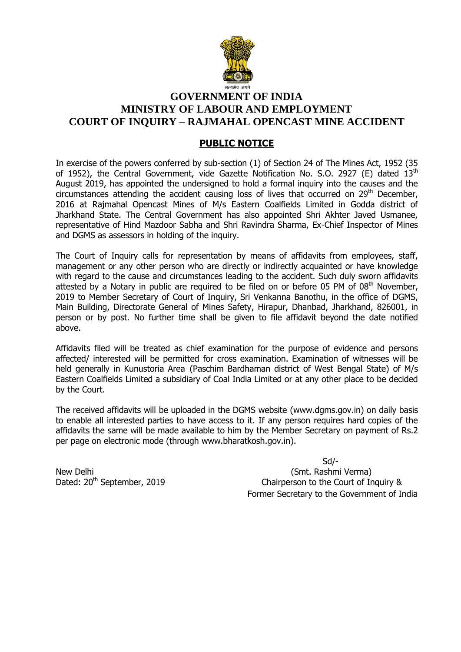

# **GOVERNMENT OF INDIA MINISTRY OF LABOUR AND EMPLOYMENT COURT OF INQUIRY – RAJMAHAL OPENCAST MINE ACCIDENT**

## **PUBLIC NOTICE**

In exercise of the powers conferred by sub-section (1) of Section 24 of The Mines Act, 1952 (35 of 1952), the Central Government, vide Gazette Notification No. S.O. 2927 (E) dated  $13<sup>th</sup>$ August 2019, has appointed the undersigned to hold a formal inquiry into the causes and the circumstances attending the accident causing loss of lives that occurred on  $29<sup>th</sup>$  December, 2016 at Rajmahal Opencast Mines of M/s Eastern Coalfields Limited in Godda district of Jharkhand State. The Central Government has also appointed Shri Akhter Javed Usmanee, representative of Hind Mazdoor Sabha and Shri Ravindra Sharma, Ex-Chief Inspector of Mines and DGMS as assessors in holding of the inquiry.

The Court of Inquiry calls for representation by means of affidavits from employees, staff, management or any other person who are directly or indirectly acquainted or have knowledge with regard to the cause and circumstances leading to the accident. Such duly sworn affidavits attested by a Notary in public are required to be filed on or before 05 PM of  $08<sup>th</sup>$  November. 2019 to Member Secretary of Court of Inquiry, Sri Venkanna Banothu, in the office of DGMS, Main Building, Directorate General of Mines Safety, Hirapur, Dhanbad, Jharkhand, 826001, in person or by post. No further time shall be given to file affidavit beyond the date notified above.

Affidavits filed will be treated as chief examination for the purpose of evidence and persons affected/ interested will be permitted for cross examination. Examination of witnesses will be held generally in Kunustoria Area (Paschim Bardhaman district of West Bengal State) of M/s Eastern Coalfields Limited a subsidiary of Coal India Limited or at any other place to be decided by the Court.

The received affidavits will be uploaded in the DGMS website [\(www.dgms.gov.in\)](http://www.dgms.gov.in/) on daily basis to enable all interested parties to have access to it. If any person requires hard copies of the affidavits the same will be made available to him by the Member Secretary on payment of Rs.2 per page on electronic mode (through [www.bharatkosh.gov.in\)](http://www.bharatkosh.gov.in/).

 Sd/- New Delhi (Smt. Rashmi Verma) Dated: 20<sup>th</sup> September, 2019 Chairperson to the Court of Inquiry & Former Secretary to the Government of India